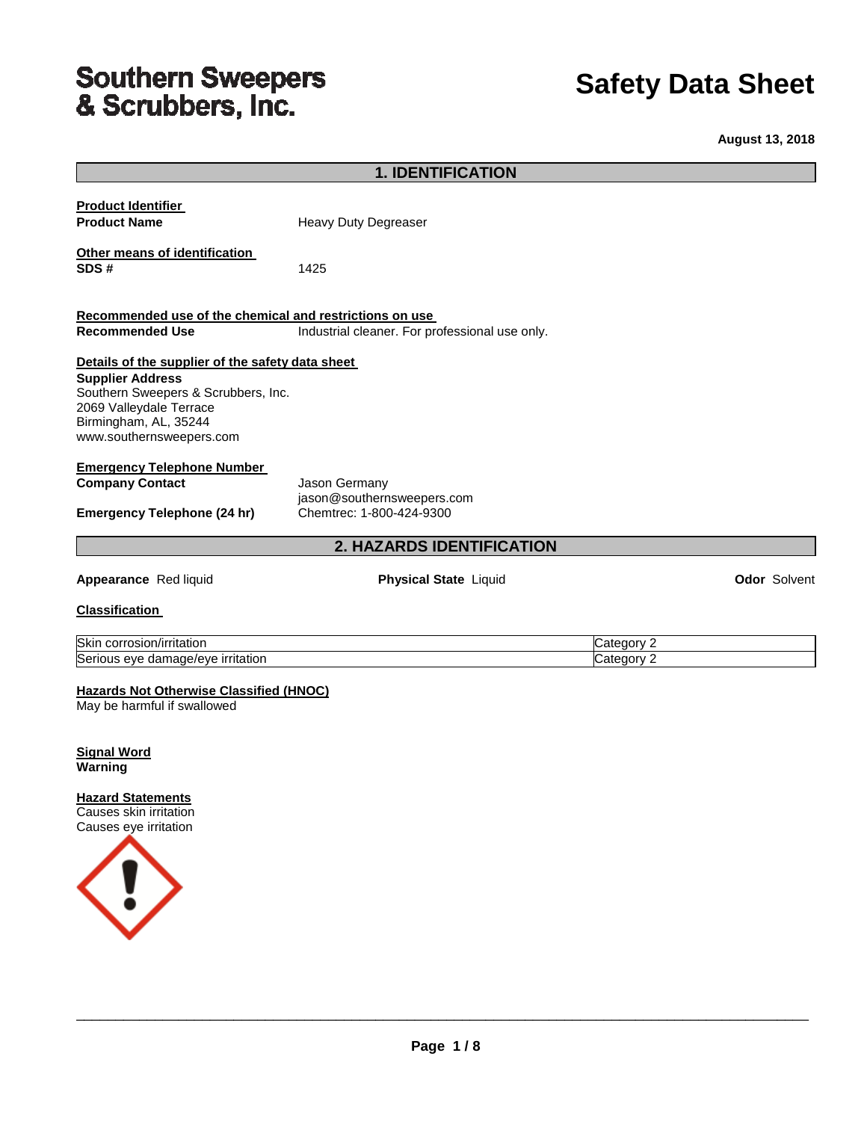# Southern Sweepers<br>& Scrubbers, Inc.

## **Safety Data Sheet**

**August 13, 2018**

|                                                                | <b>1. IDENTIFICATION</b>                       |                          |                     |
|----------------------------------------------------------------|------------------------------------------------|--------------------------|---------------------|
| <b>Product Identifier</b>                                      |                                                |                          |                     |
| <b>Product Name</b>                                            | Heavy Duty Degreaser                           |                          |                     |
|                                                                |                                                |                          |                     |
| Other means of identification                                  |                                                |                          |                     |
| SDS#                                                           | 1425                                           |                          |                     |
|                                                                |                                                |                          |                     |
| Recommended use of the chemical and restrictions on use        |                                                |                          |                     |
| <b>Recommended Use</b>                                         | Industrial cleaner. For professional use only. |                          |                     |
|                                                                |                                                |                          |                     |
| Details of the supplier of the safety data sheet               |                                                |                          |                     |
| <b>Supplier Address</b>                                        |                                                |                          |                     |
| Southern Sweepers & Scrubbers, Inc.<br>2069 Valleydale Terrace |                                                |                          |                     |
| Birmingham, AL, 35244                                          |                                                |                          |                     |
| www.southernsweepers.com                                       |                                                |                          |                     |
|                                                                |                                                |                          |                     |
| <b>Emergency Telephone Number</b>                              |                                                |                          |                     |
| <b>Company Contact</b>                                         | Jason Germany<br>jason@southernsweepers.com    |                          |                     |
| <b>Emergency Telephone (24 hr)</b>                             | Chemtrec: 1-800-424-9300                       |                          |                     |
|                                                                |                                                |                          |                     |
|                                                                | 2. HAZARDS IDENTIFICATION                      |                          |                     |
| Appearance Red liquid                                          | <b>Physical State Liquid</b>                   |                          | <b>Odor Solvent</b> |
|                                                                |                                                |                          |                     |
| <b>Classification</b>                                          |                                                |                          |                     |
|                                                                |                                                |                          |                     |
| Skin corrosion/irritation<br>Serious eye damage/eye irritation |                                                | Category 2<br>Category 2 |                     |
|                                                                |                                                |                          |                     |
| <b>Hazards Not Otherwise Classified (HNOC)</b>                 |                                                |                          |                     |
| May be harmful if swallowed                                    |                                                |                          |                     |
|                                                                |                                                |                          |                     |
|                                                                |                                                |                          |                     |
| <b>Signal Word</b><br>Warning                                  |                                                |                          |                     |
|                                                                |                                                |                          |                     |
| <b>Hazard Statements</b>                                       |                                                |                          |                     |
| Causes skin irritation                                         |                                                |                          |                     |
| Causes eye irritation                                          |                                                |                          |                     |
|                                                                |                                                |                          |                     |
|                                                                |                                                |                          |                     |
|                                                                |                                                |                          |                     |
|                                                                |                                                |                          |                     |
|                                                                |                                                |                          |                     |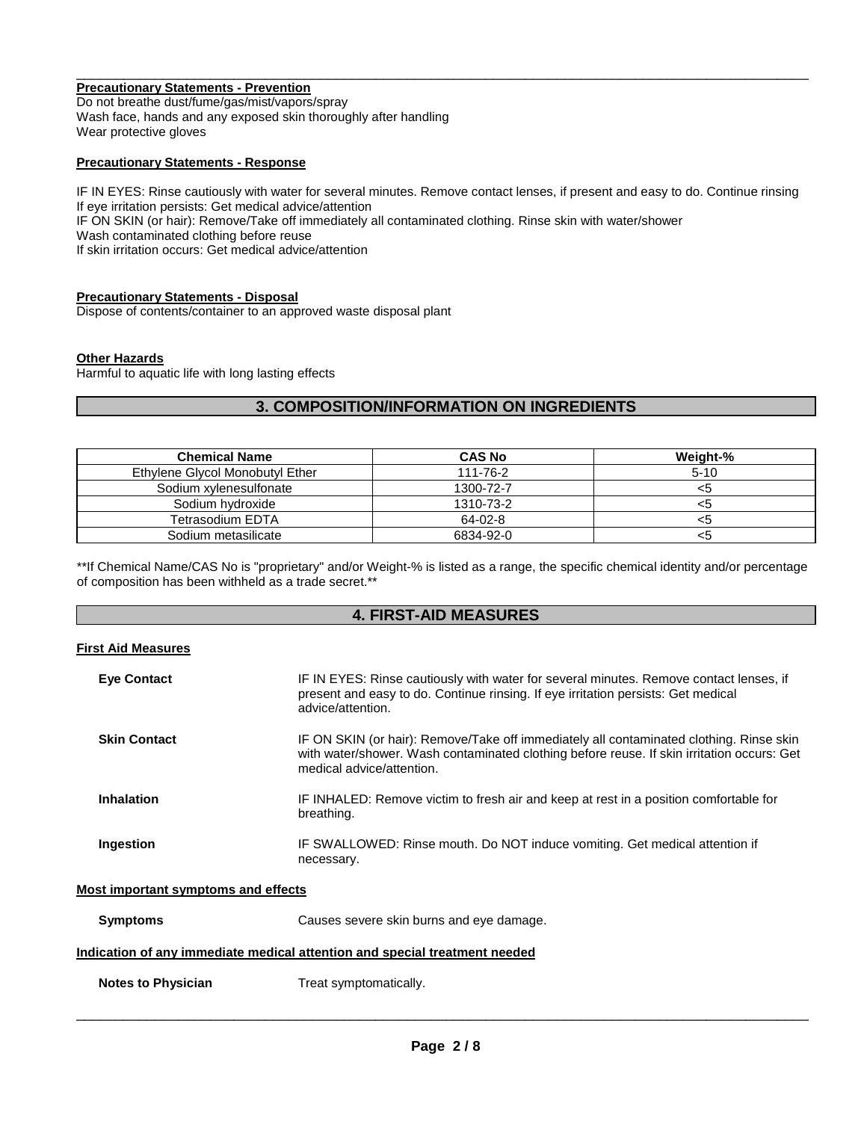#### **Precautionary Statements - Prevention**

Do not breathe dust/fume/gas/mist/vapors/spray Wash face, hands and any exposed skin thoroughly after handling Wear protective gloves

#### **Precautionary Statements - Response**

IF IN EYES: Rinse cautiously with water for several minutes. Remove contact lenses, if present and easy to do. Continue rinsing If eye irritation persists: Get medical advice/attention IF ON SKIN (or hair): Remove/Take off immediately all contaminated clothing. Rinse skin with water/shower Wash contaminated clothing before reuse

\_\_\_\_\_\_\_\_\_\_\_\_\_\_\_\_\_\_\_\_\_\_\_\_\_\_\_\_\_\_\_\_\_\_\_\_\_\_\_\_\_\_\_\_\_\_\_\_\_\_\_\_\_\_\_\_\_\_\_\_\_\_\_\_\_\_\_\_\_\_\_\_\_\_\_\_\_\_\_\_\_\_\_\_\_\_\_\_\_\_\_\_\_

If skin irritation occurs: Get medical advice/attention

#### **Precautionary Statements - Disposal**

Dispose of contents/container to an approved waste disposal plant

#### **Other Hazards**

Harmful to aquatic life with long lasting effects

#### **3. COMPOSITION/INFORMATION ON INGREDIENTS**

| <b>Chemical Name</b>            | <b>CAS No</b> | Weight-% |
|---------------------------------|---------------|----------|
| Ethylene Glycol Monobutyl Ether | 111-76-2      | $5-10$   |
| Sodium xylenesulfonate          | 1300-72-7     | <5       |
| Sodium hydroxide                | 1310-73-2     |          |
| Tetrasodium EDTA                | 64-02-8       | <ວ       |
| Sodium metasilicate             | 6834-92-0     |          |

\*\*If Chemical Name/CAS No is "proprietary" and/or Weight-% is listed as a range, the specific chemical identity and/or percentage of composition has been withheld as a trade secret.\*\*

#### **4. FIRST-AID MEASURES**

#### **First Aid Measures**

| <b>Eve Contact</b>                                                         | IF IN EYES: Rinse cautiously with water for several minutes. Remove contact lenses, if<br>present and easy to do. Continue rinsing. If eye irritation persists: Get medical<br>advice/attention.                   |  |  |  |
|----------------------------------------------------------------------------|--------------------------------------------------------------------------------------------------------------------------------------------------------------------------------------------------------------------|--|--|--|
| <b>Skin Contact</b>                                                        | IF ON SKIN (or hair): Remove/Take off immediately all contaminated clothing. Rinse skin<br>with water/shower. Wash contaminated clothing before reuse. If skin irritation occurs: Get<br>medical advice/attention. |  |  |  |
| <b>Inhalation</b>                                                          | IF INHALED: Remove victim to fresh air and keep at rest in a position comfortable for<br>breathing.                                                                                                                |  |  |  |
| Ingestion                                                                  | IF SWALLOWED: Rinse mouth. Do NOT induce vomiting. Get medical attention if<br>necessary.                                                                                                                          |  |  |  |
| Most important symptoms and effects                                        |                                                                                                                                                                                                                    |  |  |  |
| <b>Symptoms</b>                                                            | Causes severe skin burns and eye damage.                                                                                                                                                                           |  |  |  |
| Indication of any immediate medical attention and special treatment needed |                                                                                                                                                                                                                    |  |  |  |

**Notes to Physician**  Treat symptomatically.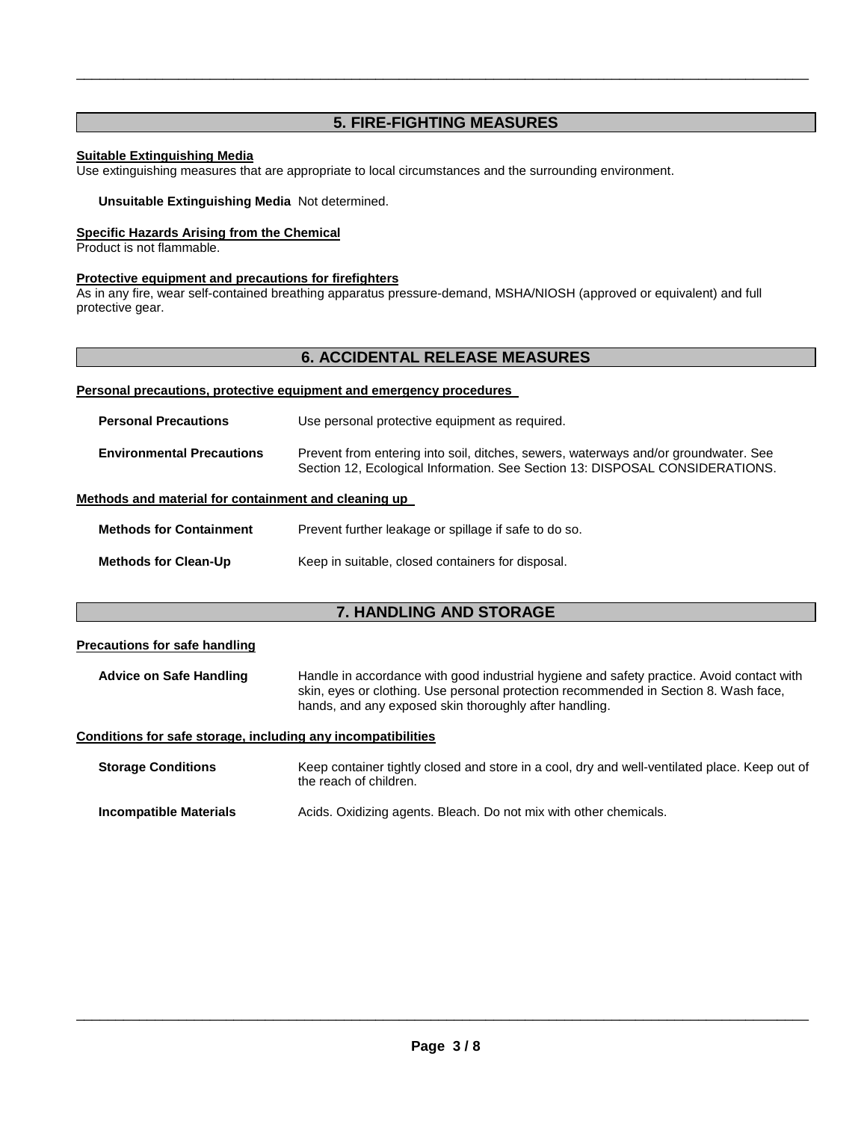#### **5. FIRE-FIGHTING MEASURES**

\_\_\_\_\_\_\_\_\_\_\_\_\_\_\_\_\_\_\_\_\_\_\_\_\_\_\_\_\_\_\_\_\_\_\_\_\_\_\_\_\_\_\_\_\_\_\_\_\_\_\_\_\_\_\_\_\_\_\_\_\_\_\_\_\_\_\_\_\_\_\_\_\_\_\_\_\_\_\_\_\_\_\_\_\_\_\_\_\_\_\_\_\_

#### **Suitable Extinguishing Media**

Use extinguishing measures that are appropriate to local circumstances and the surrounding environment.

#### **Unsuitable Extinguishing Media** Not determined.

#### **Specific Hazards Arising from the Chemical**

Product is not flammable.

#### **Protective equipment and precautions for firefighters**

As in any fire, wear self-contained breathing apparatus pressure-demand, MSHA/NIOSH (approved or equivalent) and full protective gear.

#### **6. ACCIDENTAL RELEASE MEASURES**

#### **Personal precautions, protective equipment and emergency procedures**

| <b>Personal Precautions</b>                          | Use personal protective equipment as required.                                                                                                                      |
|------------------------------------------------------|---------------------------------------------------------------------------------------------------------------------------------------------------------------------|
| <b>Environmental Precautions</b>                     | Prevent from entering into soil, ditches, sewers, waterways and/or groundwater. See<br>Section 12, Ecological Information. See Section 13: DISPOSAL CONSIDERATIONS. |
| Methods and material for containment and cleaning up |                                                                                                                                                                     |

#### **Methods for Containment** Prevent further leakage or spillage if safe to do so.

| <b>Methods for Clean-Up</b> | Keep in suitable, closed containers for disposal. |  |  |
|-----------------------------|---------------------------------------------------|--|--|
|                             |                                                   |  |  |

#### **7. HANDLING AND STORAGE**

#### **Precautions for safe handling**

**Advice on Safe Handling** Handle in accordance with good industrial hygiene and safety practice. Avoid contact with skin, eyes or clothing. Use personal protection recommended in Section 8. Wash face, hands, and any exposed skin thoroughly after handling.

#### **Conditions for safe storage, including any incompatibilities**

| <b>Storage Conditions</b> | Keep container tightly closed and store in a cool, dry and well-ventilated place. Keep out of<br>the reach of children. |
|---------------------------|-------------------------------------------------------------------------------------------------------------------------|
| Incompatible Materials    | Acids. Oxidizing agents. Bleach. Do not mix with other chemicals.                                                       |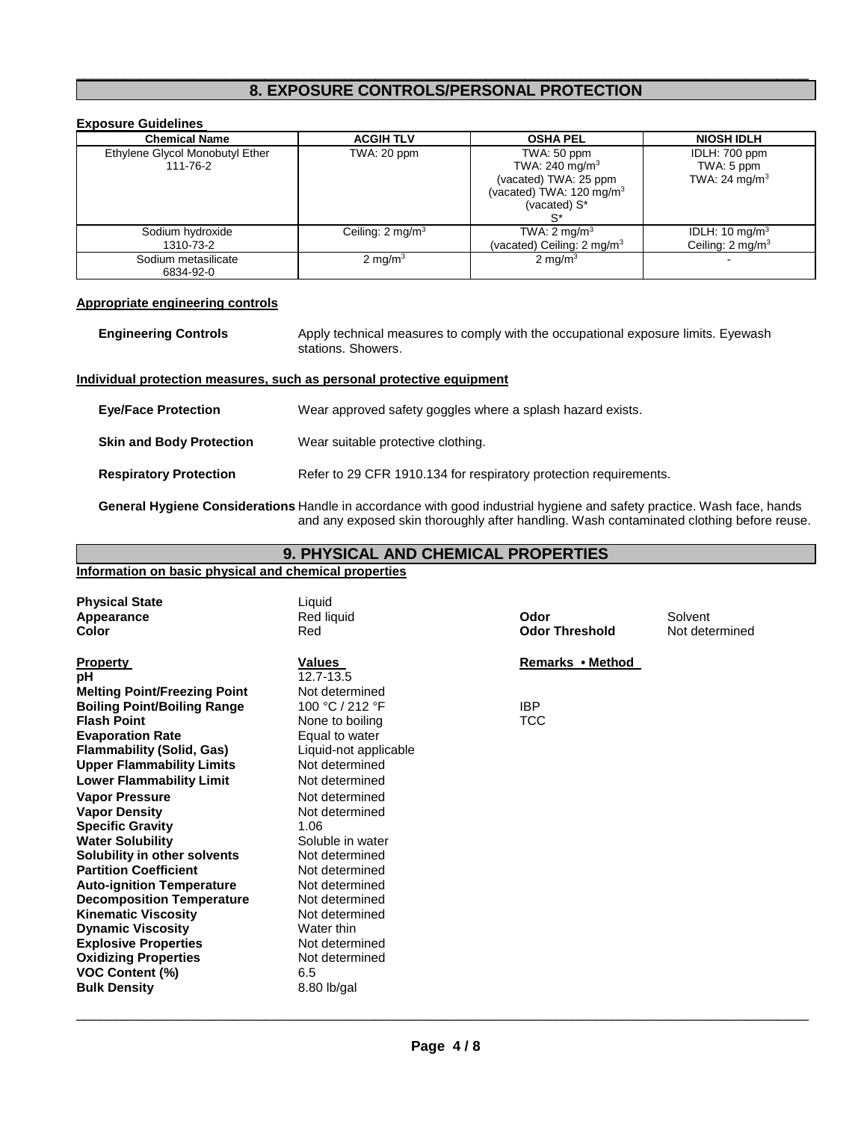#### \_\_\_\_\_\_\_\_\_\_\_\_\_\_\_\_\_\_\_\_\_\_\_\_\_\_\_\_\_\_\_\_\_\_\_\_\_\_\_\_\_\_\_\_\_\_\_\_\_\_\_\_\_\_\_\_\_\_\_\_\_\_\_\_\_\_\_\_\_\_\_\_\_\_\_\_\_\_\_\_\_\_\_\_\_\_\_\_\_\_\_\_\_ **8. EXPOSURE CONTROLS/PERSONAL PROTECTION**

| <b>Exposure Guidelines</b>                  |                             |                                                                                                                                  |                                                           |  |
|---------------------------------------------|-----------------------------|----------------------------------------------------------------------------------------------------------------------------------|-----------------------------------------------------------|--|
| <b>Chemical Name</b>                        | <b>ACGIH TLV</b>            | <b>OSHA PEL</b>                                                                                                                  | <b>NIOSH IDLH</b>                                         |  |
| Ethylene Glycol Monobutyl Ether<br>111-76-2 | TWA: 20 ppm                 | TWA: 50 ppm<br>TWA: 240 mg/m <sup>3</sup><br>(vacated) TWA: 25 ppm<br>(vacated) TWA: 120 mg/m <sup>3</sup><br>(vacated) S*<br>S* | IDLH: 700 ppm<br>TWA: 5 ppm<br>TWA: 24 mg/m <sup>3</sup>  |  |
| Sodium hydroxide<br>1310-73-2               | Ceiling: $2 \text{ mq/m}^3$ | TWA: $2 \text{ mg/m}^3$<br>(vacated) Ceiling: $2 \text{ mg/m}^3$                                                                 | IDLH: 10 mg/m <sup>3</sup><br>Ceiling: $2 \text{ mq/m}^3$ |  |
| Sodium metasilicate<br>6834-92-0            | 2 mg/m $3$                  | $2 \text{ mg/m}^3$                                                                                                               |                                                           |  |

#### **Appropriate engineering controls**

| <b>Engineering Controls</b> | Apply technical measures to comply with the occupational exposure limits. Eyewash |
|-----------------------------|-----------------------------------------------------------------------------------|
|                             | stations. Showers.                                                                |

#### **Individual protection measures, such as personal protective equipment**

| <b>Eye/Face Protection</b>      | Wear approved safety goggles where a splash hazard exists.        |
|---------------------------------|-------------------------------------------------------------------|
| <b>Skin and Body Protection</b> | Wear suitable protective clothing.                                |
| <b>Respiratory Protection</b>   | Refer to 29 CFR 1910.134 for respiratory protection requirements. |

**General Hygiene Considerations** Handle in accordance with good industrial hygiene and safety practice. Wash face, hands and any exposed skin thoroughly after handling. Wash contaminated clothing before reuse.

| 9. PHYSICAL AND CHEMICAL PROPERTIES                                                                                                                                                                                                                                                                                                                                                                                                                                                                                                                                                                    |                                                                                                                                                                                                                                                                                                                                                                           |                                              |                           |
|--------------------------------------------------------------------------------------------------------------------------------------------------------------------------------------------------------------------------------------------------------------------------------------------------------------------------------------------------------------------------------------------------------------------------------------------------------------------------------------------------------------------------------------------------------------------------------------------------------|---------------------------------------------------------------------------------------------------------------------------------------------------------------------------------------------------------------------------------------------------------------------------------------------------------------------------------------------------------------------------|----------------------------------------------|---------------------------|
| Information on basic physical and chemical properties                                                                                                                                                                                                                                                                                                                                                                                                                                                                                                                                                  |                                                                                                                                                                                                                                                                                                                                                                           |                                              |                           |
| <b>Physical State</b><br>Appearance<br>Color                                                                                                                                                                                                                                                                                                                                                                                                                                                                                                                                                           | Liquid<br>Red liquid<br>Red                                                                                                                                                                                                                                                                                                                                               | Odor<br><b>Odor Threshold</b>                | Solvent<br>Not determined |
| <b>Property</b><br>рH<br><b>Melting Point/Freezing Point</b><br><b>Boiling Point/Boiling Range</b><br><b>Flash Point</b><br><b>Evaporation Rate</b><br><b>Flammability (Solid, Gas)</b><br><b>Upper Flammability Limits</b><br><b>Lower Flammability Limit</b><br><b>Vapor Pressure</b><br><b>Vapor Density</b><br><b>Specific Gravity</b><br><b>Water Solubility</b><br>Solubility in other solvents<br><b>Partition Coefficient</b><br><b>Auto-ignition Temperature</b><br><b>Decomposition Temperature</b><br><b>Kinematic Viscosity</b><br><b>Dynamic Viscosity</b><br><b>Explosive Properties</b> | <b>Values</b><br>$\overline{12.7}$ -13.5<br>Not determined<br>100 °C / 212 °F<br>None to boiling<br>Equal to water<br>Liquid-not applicable<br>Not determined<br>Not determined<br>Not determined<br>Not determined<br>1.06<br>Soluble in water<br>Not determined<br>Not determined<br>Not determined<br>Not determined<br>Not determined<br>Water thin<br>Not determined | Remarks • Method<br><b>IBP</b><br><b>TCC</b> |                           |
| <b>Oxidizing Properties</b><br><b>VOC Content (%)</b><br><b>Bulk Density</b>                                                                                                                                                                                                                                                                                                                                                                                                                                                                                                                           | Not determined<br>6.5<br>8.80 lb/gal                                                                                                                                                                                                                                                                                                                                      |                                              |                           |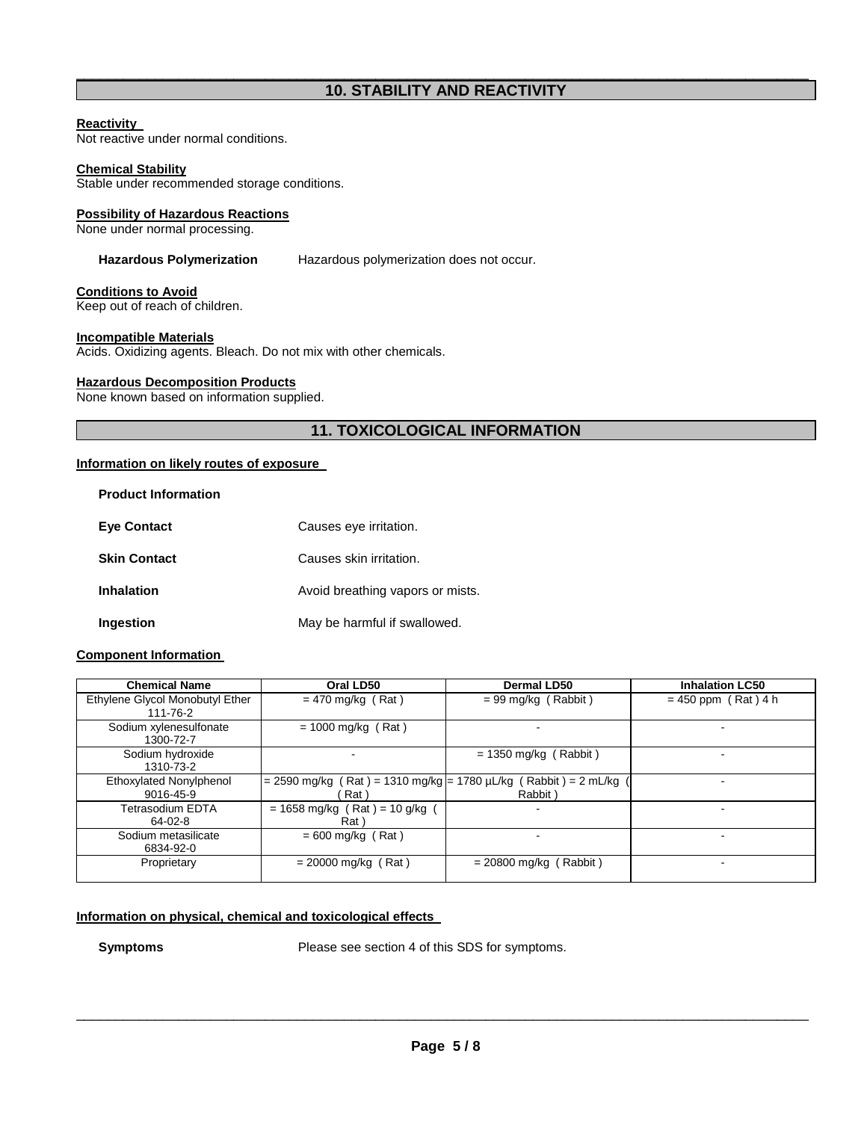#### \_\_\_\_\_\_\_\_\_\_\_\_\_\_\_\_\_\_\_\_\_\_\_\_\_\_\_\_\_\_\_\_\_\_\_\_\_\_\_\_\_\_\_\_\_\_\_\_\_\_\_\_\_\_\_\_\_\_\_\_\_\_\_\_\_\_\_\_\_\_\_\_\_\_\_\_\_\_\_\_\_\_\_\_\_\_\_\_\_\_\_\_\_ **10. STABILITY AND REACTIVITY**

#### **Reactivity**

Not reactive under normal conditions.

#### **Chemical Stability**

Stable under recommended storage conditions.

#### **Possibility of Hazardous Reactions**

None under normal processing.

**Hazardous Polymerization** Hazardous polymerization does not occur.

## **Conditions to Avoid**

Keep out of reach of children.

#### **Incompatible Materials**

Acids. Oxidizing agents. Bleach. Do not mix with other chemicals.

#### **Hazardous Decomposition Products**

None known based on information supplied.

#### **11. TOXICOLOGICAL INFORMATION**

#### **Information on likely routes of exposure**

| <b>Product Information</b> |                                  |
|----------------------------|----------------------------------|
| <b>Eye Contact</b>         | Causes eye irritation.           |
| <b>Skin Contact</b>        | Causes skin irritation.          |
| <b>Inhalation</b>          | Avoid breathing vapors or mists. |
| Ingestion                  | May be harmful if swallowed.     |

#### **Component Information**

| <b>Chemical Name</b>            | Oral LD50                                                       | Dermal LD50              | <b>Inhalation LC50</b> |
|---------------------------------|-----------------------------------------------------------------|--------------------------|------------------------|
| Ethylene Glycol Monobutyl Ether | $= 470$ mg/kg (Rat)                                             | $= 99$ mg/kg (Rabbit)    | $= 450$ ppm (Rat) 4 h  |
| 111-76-2                        |                                                                 |                          |                        |
| Sodium xylenesulfonate          | $= 1000$ mg/kg (Rat)                                            |                          |                        |
| 1300-72-7                       |                                                                 |                          |                        |
| Sodium hydroxide                |                                                                 | $= 1350$ mg/kg (Rabbit)  |                        |
| 1310-73-2                       |                                                                 |                          |                        |
| Ethoxylated Nonylphenol         | = 2590 mg/kg (Rat) = 1310 mg/kg = 1780 µL/kg (Rabbit) = 2 mL/kg |                          |                        |
| 9016-45-9                       | Rat `                                                           | Rabbit)                  |                        |
| Tetrasodium EDTA                | $= 1658$ mg/kg (Rat) = 10 g/kg (                                |                          | -                      |
| 64-02-8                         | Rat \                                                           |                          |                        |
| Sodium metasilicate             | $= 600$ mg/kg (Rat)                                             |                          |                        |
| 6834-92-0                       |                                                                 |                          |                        |
| Proprietary                     | $= 20000$ mg/kg (Rat)                                           | $= 20800$ mg/kg (Rabbit) |                        |
|                                 |                                                                 |                          |                        |

#### **Information on physical, chemical and toxicological effects**

**Symptoms** Please see section 4 of this SDS for symptoms.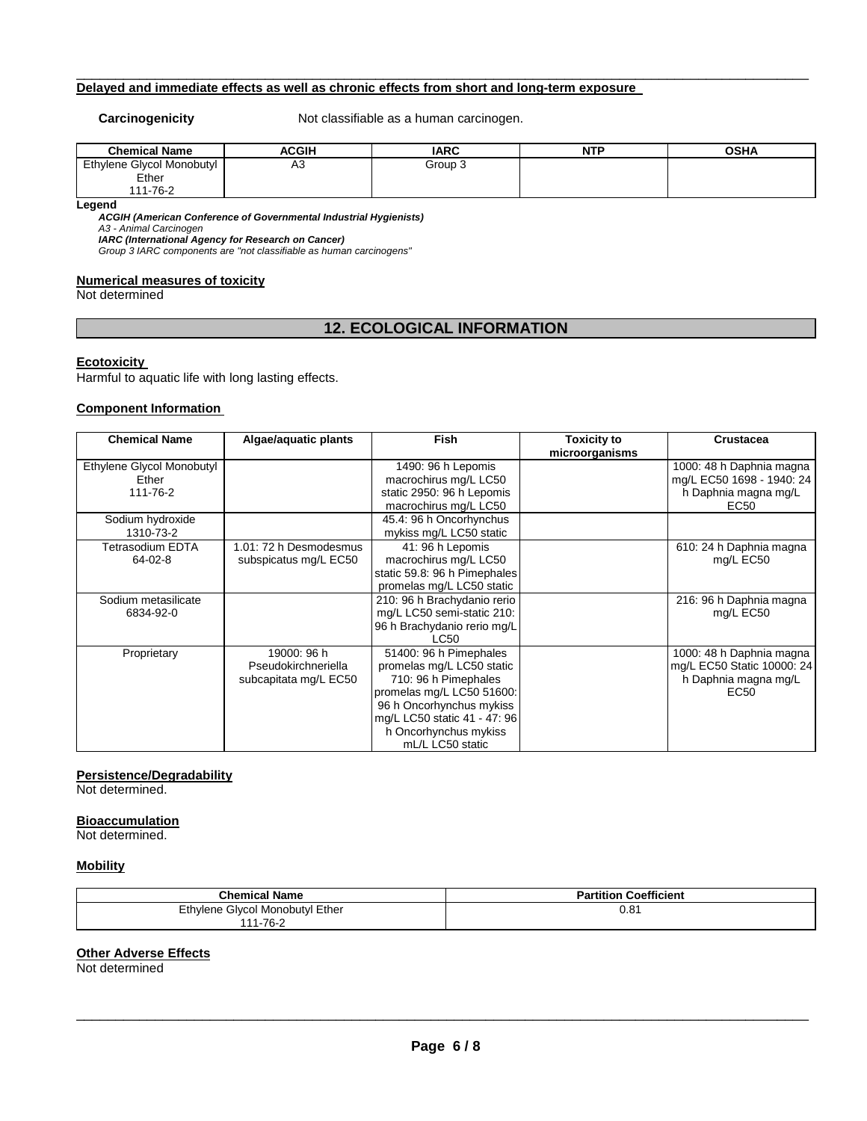#### **Delayed and immediate effects as well as chronic effects from short and long-term exposure**

**Carcinogenicity Not classifiable as a human carcinogen.** 

| <b>Chemical Name</b>      | <b>ACGIH</b> | <b>IARC</b> | <b>NTP</b> | <b>OSHA</b> |
|---------------------------|--------------|-------------|------------|-------------|
| Ethylene Glycol Monobutyl | A3           | Group 3     |            |             |
| Ether                     |              |             |            |             |
| 111-76-2                  |              |             |            |             |

\_\_\_\_\_\_\_\_\_\_\_\_\_\_\_\_\_\_\_\_\_\_\_\_\_\_\_\_\_\_\_\_\_\_\_\_\_\_\_\_\_\_\_\_\_\_\_\_\_\_\_\_\_\_\_\_\_\_\_\_\_\_\_\_\_\_\_\_\_\_\_\_\_\_\_\_\_\_\_\_\_\_\_\_\_\_\_\_\_\_\_\_\_

**Legend** 

**ACGIH (American Conference of Governmental Industrial Hygienists)** 

A3 - Animal Carcinogen **IARC (International Agency for Research on Cancer)** 

Group 3 IARC components are "not classifiable as human carcinogens"

#### **Numerical measures of toxicity**

Not determined

#### **12. ECOLOGICAL INFORMATION**

#### **Ecotoxicity**

Harmful to aquatic life with long lasting effects.

#### **Component Information**

| <b>Chemical Name</b>      | Algae/aquatic plants   | <b>Fish</b>                  | <b>Toxicity to</b> | Crustacea                  |  |
|---------------------------|------------------------|------------------------------|--------------------|----------------------------|--|
|                           |                        |                              | microorganisms     |                            |  |
| Ethylene Glycol Monobutyl |                        | 1490: 96 h Lepomis           |                    | 1000: 48 h Daphnia magna   |  |
| Ether                     |                        | macrochirus mg/L LC50        |                    | mg/L EC50 1698 - 1940: 24  |  |
| 111-76-2                  |                        | static 2950: 96 h Lepomis    |                    | h Daphnia magna mg/L       |  |
|                           |                        | macrochirus mg/L LC50        |                    | EC50                       |  |
| Sodium hydroxide          |                        | 45.4: 96 h Oncorhynchus      |                    |                            |  |
| 1310-73-2                 |                        | mykiss mg/L LC50 static      |                    |                            |  |
| <b>Tetrasodium EDTA</b>   | 1.01: 72 h Desmodesmus | 41: 96 h Lepomis             |                    | 610: 24 h Daphnia magna    |  |
| 64-02-8                   | subspicatus mg/L EC50  | macrochirus mg/L LC50        |                    | mg/L EC50                  |  |
|                           |                        | static 59.8: 96 h Pimephales |                    |                            |  |
|                           |                        | promelas mg/L LC50 static    |                    |                            |  |
| Sodium metasilicate       |                        | 210: 96 h Brachydanio rerio  |                    | 216: 96 h Daphnia magna    |  |
| 6834-92-0                 |                        | mg/L LC50 semi-static 210:   |                    | mg/L EC50                  |  |
|                           |                        | 96 h Brachydanio rerio mg/L  |                    |                            |  |
|                           |                        | LC50                         |                    |                            |  |
| Proprietary               | 19000: 96 h            | 51400: 96 h Pimephales       |                    | 1000: 48 h Daphnia magna   |  |
|                           | Pseudokirchneriella    | promelas mg/L LC50 static    |                    | mg/L EC50 Static 10000: 24 |  |
|                           | subcapitata mg/L EC50  | 710: 96 h Pimephales         |                    | h Daphnia magna mg/L       |  |
|                           |                        | promelas mg/L LC50 51600:    |                    | EC50                       |  |
|                           |                        | 96 h Oncorhynchus mykiss     |                    |                            |  |
|                           |                        | mg/L LC50 static 41 - 47: 96 |                    |                            |  |
|                           |                        | h Oncorhynchus mykiss        |                    |                            |  |
|                           |                        | mL/L LC50 static             |                    |                            |  |

#### **Persistence/Degradability**

Not determined.

#### **Bioaccumulation**

Not determined.

#### **Mobility**

| <b>Chemical Name</b>            | <b>Partition Coefficient</b> |
|---------------------------------|------------------------------|
| Ethylene Glycol Monobutyl Ether | 0.81                         |
| 111-76-2                        |                              |

#### **Other Adverse Effects**

Not determined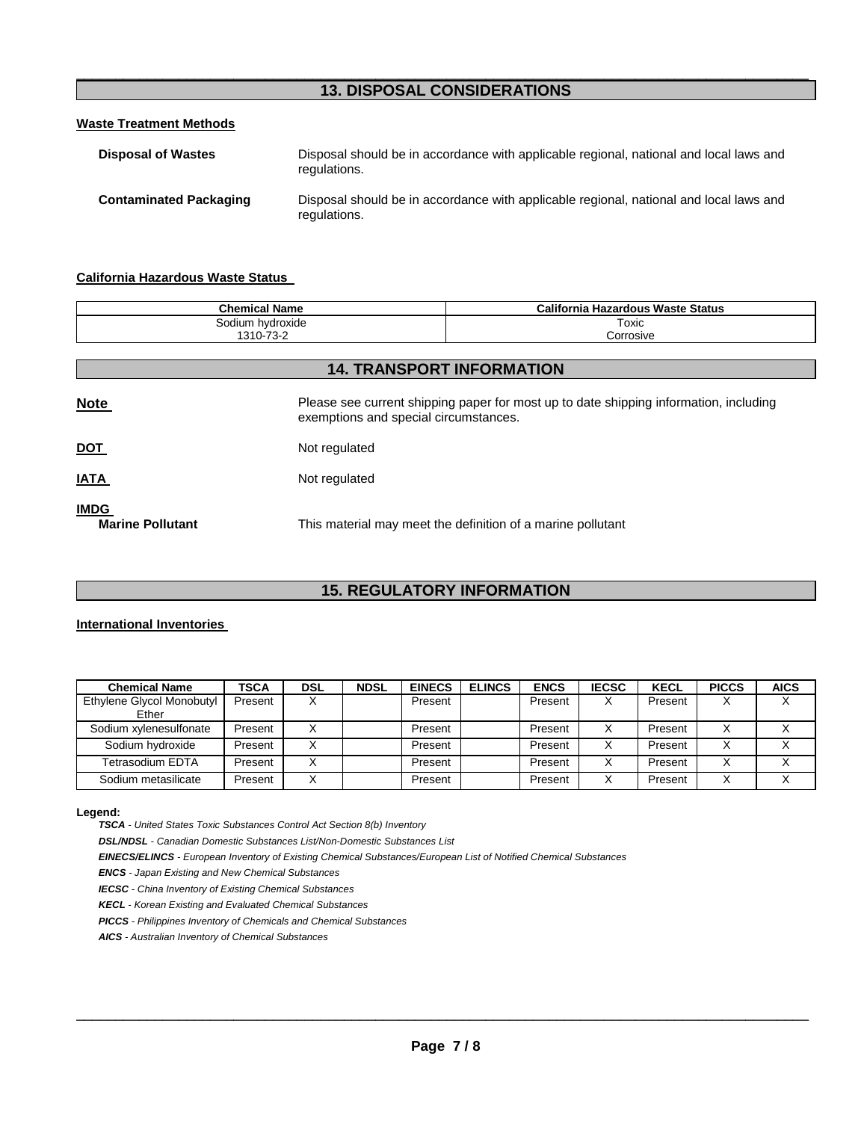#### \_\_\_\_\_\_\_\_\_\_\_\_\_\_\_\_\_\_\_\_\_\_\_\_\_\_\_\_\_\_\_\_\_\_\_\_\_\_\_\_\_\_\_\_\_\_\_\_\_\_\_\_\_\_\_\_\_\_\_\_\_\_\_\_\_\_\_\_\_\_\_\_\_\_\_\_\_\_\_\_\_\_\_\_\_\_\_\_\_\_\_\_\_ **13. DISPOSAL CONSIDERATIONS**

#### **Waste Treatment Methods**

| <b>Disposal of Wastes</b>     | Disposal should be in accordance with applicable regional, national and local laws and<br>regulations. |
|-------------------------------|--------------------------------------------------------------------------------------------------------|
| <b>Contaminated Packaging</b> | Disposal should be in accordance with applicable regional, national and local laws and<br>regulations. |

#### **California Hazardous Waste Status**

| <b>Chemical Name</b> | California Hazardous Waste Status |
|----------------------|-----------------------------------|
| Sodium hydroxide     | Toxic                             |
| 1310-73-2            | Corrosive                         |

| <b>14. TRANSPORT INFORMATION</b>       |                                                                                                                                |  |  |  |
|----------------------------------------|--------------------------------------------------------------------------------------------------------------------------------|--|--|--|
| <b>Note</b>                            | Please see current shipping paper for most up to date shipping information, including<br>exemptions and special circumstances. |  |  |  |
| <b>DOT</b>                             | Not regulated                                                                                                                  |  |  |  |
| <b>IATA</b>                            | Not regulated                                                                                                                  |  |  |  |
| <b>IMDG</b><br><b>Marine Pollutant</b> | This material may meet the definition of a marine pollutant                                                                    |  |  |  |

## **15. REGULATORY INFORMATION**

#### **International Inventories**

| <b>Chemical Name</b>               | <b>TSCA</b> | <b>DSL</b> | <b>NDSL</b> | <b>EINECS</b> | <b>ELINCS</b> | <b>ENCS</b> | <b>IECSC</b> | <b>KECL</b> | <b>PICCS</b> | <b>AICS</b> |
|------------------------------------|-------------|------------|-------------|---------------|---------------|-------------|--------------|-------------|--------------|-------------|
| Ethylene Glycol Monobutyl<br>Ether | Present     |            |             | Present       |               | Present     | $\checkmark$ | Present     |              |             |
| Sodium xvlenesulfonate             | Present     |            |             | Present       |               | Present     |              | Present     |              |             |
| Sodium hydroxide                   | Present     |            |             | Present       |               | Present     | X            | Present     |              |             |
| Tetrasodium EDTA                   | Present     |            |             | Present       |               | Present     |              | Present     |              |             |
| Sodium metasilicate                | Present     |            |             | Present       |               | Present     | ⋏            | Present     |              |             |

#### **Legend:**

**TSCA** - United States Toxic Substances Control Act Section 8(b) Inventory

**DSL/NDSL** - Canadian Domestic Substances List/Non-Domestic Substances List

**EINECS/ELINCS** - European Inventory of Existing Chemical Substances/European List of Notified Chemical Substances

**ENCS** - Japan Existing and New Chemical Substances

**IECSC** - China Inventory of Existing Chemical Substances

**KECL** - Korean Existing and Evaluated Chemical Substances

**PICCS** - Philippines Inventory of Chemicals and Chemical Substances

**AICS** - Australian Inventory of Chemical Substances